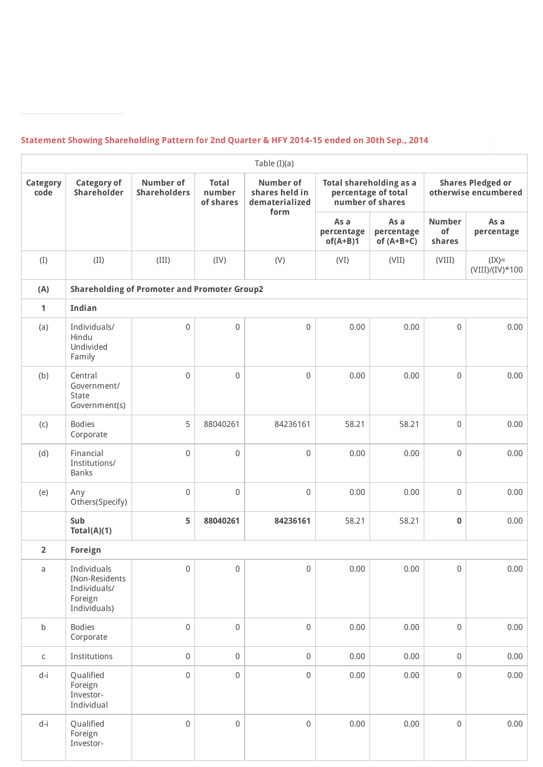## **Statement Showing Shareholding Pattern for 2nd Quarter & HFY 2014-15 ended on 30th Sep., 2014**

|                         |                                                                          |                                                     |                                     | Table (I)(a)                                         |                                  |                                                                    |                               |                                                  |
|-------------------------|--------------------------------------------------------------------------|-----------------------------------------------------|-------------------------------------|------------------------------------------------------|----------------------------------|--------------------------------------------------------------------|-------------------------------|--------------------------------------------------|
| <b>Category</b><br>code | <b>Category of</b><br>Shareholder                                        | <b>Number of</b><br><b>Shareholders</b>             | <b>Total</b><br>number<br>of shares | <b>Number of</b><br>shares held in<br>dematerialized |                                  | Total shareholding as a<br>percentage of total<br>number of shares |                               | <b>Shares Pledged or</b><br>otherwise encumbered |
|                         |                                                                          |                                                     |                                     | form                                                 | As a<br>percentage<br>$of(A+B)1$ | As a<br>percentage<br>of $(A+B+C)$                                 | <b>Number</b><br>of<br>shares | As a<br>percentage                               |
| (I)                     | (II)                                                                     | (III)                                               | (IV)                                | (V)                                                  | (VI)                             | (VII)                                                              | (VIII)                        | $(IX)=$<br>$(VIII)/(IV)*100$                     |
| (A)                     |                                                                          | <b>Shareholding of Promoter and Promoter Group2</b> |                                     |                                                      |                                  |                                                                    |                               |                                                  |
| $\mathbf{1}$            | Indian                                                                   |                                                     |                                     |                                                      |                                  |                                                                    |                               |                                                  |
| (a)                     | Individuals/<br>Hindu<br>Undivided<br>Family                             | $\mathbf 0$                                         | $\mathsf 0$                         | $\mathbf 0$                                          | 0.00                             | 0.00                                                               | $\mathbf 0$                   | 0.00                                             |
| (b)                     | Central<br>Government/<br>State<br>Government(s)                         | $\overline{0}$                                      | $\mathbf 0$                         | $\mathsf 0$                                          | 0.00                             | 0.00                                                               | $\mathbf 0$                   | 0.00                                             |
| (c)                     | <b>Bodies</b><br>Corporate                                               | 5                                                   | 88040261                            | 84236161                                             | 58.21                            | 58.21                                                              | $\mathbf 0$                   | 0.00                                             |
| (d)                     | Financial<br>Institutions/<br><b>Banks</b>                               | $\mathbf 0$                                         | $\mathsf{O}\xspace$                 | $\mathsf 0$                                          | 0.00                             | 0.00                                                               | $\mathbf 0$                   | 0.00                                             |
| (e)                     | Any<br>Others(Specify)                                                   | $\mathbf 0$                                         | $\boldsymbol{0}$                    | $\mathbf 0$                                          | 0.00                             | 0.00                                                               | $\mathbf 0$                   | 0.00                                             |
|                         | Sub<br>Total(A)(1)                                                       | 5                                                   | 88040261                            | 84236161                                             | 58.21                            | 58.21                                                              | $\bf{0}$                      | 0.00                                             |
| $\overline{2}$          | <b>Foreign</b>                                                           |                                                     |                                     |                                                      |                                  |                                                                    |                               |                                                  |
| a                       | Individuals<br>(Non-Residents<br>Individuals/<br>Foreign<br>Individuals) | $\mathbf 0$                                         | $\mathsf 0$                         | $\mathbf 0$                                          | 0.00                             | 0.00                                                               | $\mathbf 0$                   | 0.00                                             |
| $\sf b$                 | <b>Bodies</b><br>Corporate                                               | $\,0\,$                                             | $\boldsymbol{0}$                    | $\mathsf{O}\xspace$                                  | 0.00                             | 0.00                                                               | $\mathbf 0$                   | 0.00                                             |
| $\mathsf C$             | Institutions                                                             | $\mathbf 0$                                         | 0                                   | $\mathsf{O}\xspace$                                  | 0.00                             | 0.00                                                               | $\mathbf 0$                   | 0.00                                             |
| $d-i$                   | Qualified<br>Foreign<br>Investor-<br>Individual                          | $\mathbf 0$                                         | 0                                   | $\,0\,$                                              | 0.00                             | 0.00                                                               | $\mathbf 0$                   | 0.00                                             |
| d-i                     | Qualified<br>Foreign<br>Investor-                                        | $\mathbf 0$                                         | $\mathsf{O}\xspace$                 | $\mathsf{O}\xspace$                                  | 0.00                             | 0.00                                                               | $\mathbf 0$                   | 0.00                                             |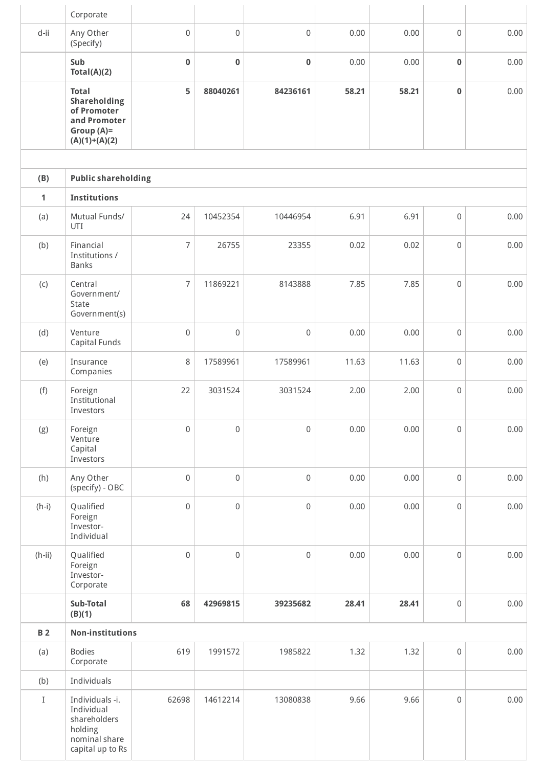|              | Corporate                                                                                      |                     |                     |             |       |       |                     |      |
|--------------|------------------------------------------------------------------------------------------------|---------------------|---------------------|-------------|-------|-------|---------------------|------|
| d-ii         | Any Other<br>(Specify)                                                                         | $\mathbf 0$         | $\mathsf 0$         | 0           | 0.00  | 0.00  | $\mathsf{O}\xspace$ | 0.00 |
|              | Sub<br>Total(A)(2)                                                                             | $\bf{0}$            | $\bf{0}$            | $\mathbf 0$ | 0.00  | 0.00  | $\mathbf 0$         | 0.00 |
|              | <b>Total</b><br>Shareholding<br>of Promoter<br>and Promoter<br>Group $(A)=$<br>$(A)(1)+(A)(2)$ | 5                   | 88040261            | 84236161    | 58.21 | 58.21 | $\mathbf 0$         | 0.00 |
|              |                                                                                                |                     |                     |             |       |       |                     |      |
| (B)          | <b>Public shareholding</b>                                                                     |                     |                     |             |       |       |                     |      |
| $\mathbf{1}$ | <b>Institutions</b>                                                                            |                     |                     |             |       |       |                     |      |
| (a)          | Mutual Funds/<br>UTI                                                                           | 24                  | 10452354            | 10446954    | 6.91  | 6.91  | $\mathsf{O}\xspace$ | 0.00 |
| (b)          | Financial<br>Institutions /<br>Banks                                                           | $\overline{7}$      | 26755               | 23355       | 0.02  | 0.02  | 0                   | 0.00 |
| (C)          | Central<br>Government/<br>State<br>Government(s)                                               | $\overline{7}$      | 11869221            | 8143888     | 7.85  | 7.85  | $\mathsf{O}\xspace$ | 0.00 |
| (d)          | Venture<br>Capital Funds                                                                       | $\mathbf 0$         | $\mathsf 0$         | 0           | 0.00  | 0.00  | 0                   | 0.00 |
| (e)          | Insurance<br>Companies                                                                         | 8                   | 17589961            | 17589961    | 11.63 | 11.63 | $\mathsf{O}\xspace$ | 0.00 |
| (f)          | Foreign<br>Institutional<br>Investors                                                          | 22                  | 3031524             | 3031524     | 2.00  | 2.00  | $\mathsf{O}\xspace$ | 0.00 |
| (g)          | Foreign<br>Venture<br>Capital<br>Investors                                                     | $\mathsf{O}\xspace$ | $\mathsf 0$         | $\mathsf 0$ | 0.00  | 0.00  | $\mathsf{O}\xspace$ | 0.00 |
| (h)          | Any Other<br>(specify) - OBC                                                                   | $\mathbf 0$         | $\mathbf 0$         | 0           | 0.00  | 0.00  | $\mathsf{O}\xspace$ | 0.00 |
| $(h-i)$      | Qualified<br>Foreign<br>Investor-<br>Individual                                                | $\mathsf{O}\xspace$ | $\mathsf{O}\xspace$ | $\mathsf 0$ | 0.00  | 0.00  | $\mathsf{O}\xspace$ | 0.00 |
| $(h-ii)$     | Qualified<br>Foreign<br>Investor-<br>Corporate                                                 | $\mathsf{O}\xspace$ | $\mathsf 0$         | $\mathsf 0$ | 0.00  | 0.00  | $\mathsf{O}\xspace$ | 0.00 |
|              | Sub-Total<br>(B)(1)                                                                            | 68                  | 42969815            | 39235682    | 28.41 | 28.41 | $\mathsf 0$         | 0.00 |
| <b>B2</b>    | <b>Non-institutions</b>                                                                        |                     |                     |             |       |       |                     |      |
| (a)          | <b>Bodies</b><br>Corporate                                                                     | 619                 | 1991572             | 1985822     | 1.32  | 1.32  | $\mathsf{O}\xspace$ | 0.00 |
| (b)          | Individuals                                                                                    |                     |                     |             |       |       |                     |      |
| $\rm I$      | Individuals -i.<br>Individual<br>shareholders<br>holding<br>nominal share<br>capital up to Rs  | 62698               | 14612214            | 13080838    | 9.66  | 9.66  | $\mathsf{O}\xspace$ | 0.00 |